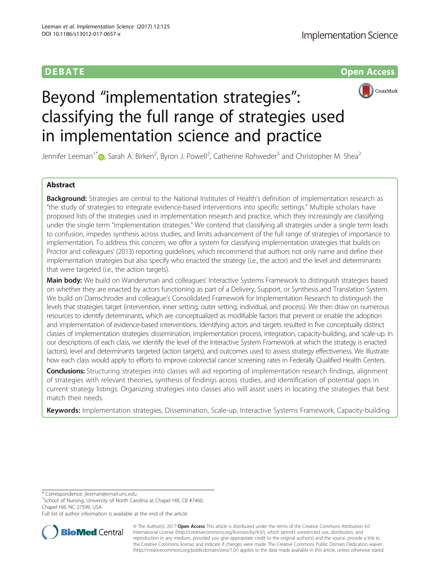**DEBATE CONSERVATION DEBATE** 



# Beyond "implementation strategies": classifying the full range of strategies used in implementation science and practice

Jennifer Leeman<sup>1\*</sup> $\bullet$ [,](http://orcid.org/0000-0003-3130-8297) Sarah A. Birken<sup>2</sup>, Byron J. Powell<sup>2</sup>, Catherine Rohweder<sup>3</sup> and Christopher M. Shea<sup>2</sup>

# Abstract

Background: Strategies are central to the National Institutes of Health's definition of implementation research as "the study of strategies to integrate evidence-based interventions into specific settings." Multiple scholars have proposed lists of the strategies used in implementation research and practice, which they increasingly are classifying under the single term "implementation strategies." We contend that classifying all strategies under a single term leads to confusion, impedes synthesis across studies, and limits advancement of the full range of strategies of importance to implementation. To address this concern, we offer a system for classifying implementation strategies that builds on Proctor and colleagues' (2013) reporting guidelines, which recommend that authors not only name and define their implementation strategies but also specify who enacted the strategy (i.e., the actor) and the level and determinants that were targeted (i.e., the action targets).

Main body: We build on Wandersman and colleagues' Interactive Systems Framework to distinguish strategies based on whether they are enacted by actors functioning as part of a Delivery, Support, or Synthesis and Translation System. We build on Damschroder and colleague's Consolidated Framework for Implementation Research to distinguish the levels that strategies target (intervention, inner setting, outer setting, individual, and process). We then draw on numerous resources to identify determinants, which are conceptualized as modifiable factors that prevent or enable the adoption and implementation of evidence-based interventions. Identifying actors and targets resulted in five conceptually distinct classes of implementation strategies: dissemination, implementation process, integration, capacity-building, and scale-up. In our descriptions of each class, we identify the level of the Interactive System Framework at which the strategy is enacted (actors), level and determinants targeted (action targets), and outcomes used to assess strategy effectiveness. We illustrate how each class would apply to efforts to improve colorectal cancer screening rates in Federally Qualified Health Centers.

Conclusions: Structuring strategies into classes will aid reporting of implementation research findings, alignment of strategies with relevant theories, synthesis of findings across studies, and identification of potential gaps in current strategy listings. Organizing strategies into classes also will assist users in locating the strategies that best match their needs.

Keywords: Implementation strategies, Dissemination, Scale-up, Interactive Systems Framework, Capacity-building

\* Correspondence: [jleeman@email.unc.edu](mailto:jleeman@email.unc.edu) <sup>1</sup>

<sup>1</sup>School of Nursing, University of North Carolina at Chapel Hill, CB #7460, Chapel Hill, NC 27599, USA

Full list of author information is available at the end of the article



© The Author(s). 2017 **Open Access** This article is distributed under the terms of the Creative Commons Attribution 4.0 International License [\(http://creativecommons.org/licenses/by/4.0/](http://creativecommons.org/licenses/by/4.0/)), which permits unrestricted use, distribution, and reproduction in any medium, provided you give appropriate credit to the original author(s) and the source, provide a link to the Creative Commons license, and indicate if changes were made. The Creative Commons Public Domain Dedication waiver [\(http://creativecommons.org/publicdomain/zero/1.0/](http://creativecommons.org/publicdomain/zero/1.0/)) applies to the data made available in this article, unless otherwise stated.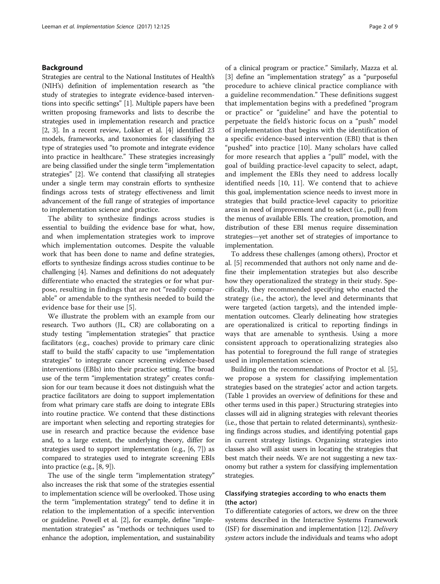# Background

Strategies are central to the National Institutes of Health's (NIH's) definition of implementation research as "the study of strategies to integrate evidence-based interventions into specific settings" [[1\]](#page-7-0). Multiple papers have been written proposing frameworks and lists to describe the strategies used in implementation research and practice [[2, 3\]](#page-7-0). In a recent review, Lokker et al. [\[4](#page-7-0)] identified 23 models, frameworks, and taxonomies for classifying the type of strategies used "to promote and integrate evidence into practice in healthcare." These strategies increasingly are being classified under the single term "implementation strategies" [[2\]](#page-7-0). We contend that classifying all strategies under a single term may constrain efforts to synthesize findings across tests of strategy effectiveness and limit advancement of the full range of strategies of importance to implementation science and practice.

The ability to synthesize findings across studies is essential to building the evidence base for what, how, and when implementation strategies work to improve which implementation outcomes. Despite the valuable work that has been done to name and define strategies, efforts to synthesize findings across studies continue to be challenging [[4\]](#page-7-0). Names and definitions do not adequately differentiate who enacted the strategies or for what purpose, resulting in findings that are not "readily comparable" or amendable to the synthesis needed to build the evidence base for their use [\[5](#page-7-0)].

We illustrate the problem with an example from our research. Two authors (JL, CR) are collaborating on a study testing "implementation strategies" that practice facilitators (e.g., coaches) provide to primary care clinic staff to build the staffs' capacity to use "implementation strategies" to integrate cancer screening evidence-based interventions (EBIs) into their practice setting. The broad use of the term "implementation strategy" creates confusion for our team because it does not distinguish what the practice facilitators are doing to support implementation from what primary care staffs are doing to integrate EBIs into routine practice. We contend that these distinctions are important when selecting and reporting strategies for use in research and practice because the evidence base and, to a large extent, the underlying theory, differ for strategies used to support implementation (e.g., [\[6](#page-7-0), [7\]](#page-7-0)) as compared to strategies used to integrate screening EBIs into practice (e.g., [\[8](#page-7-0), [9\]](#page-7-0)).

The use of the single term "implementation strategy" also increases the risk that some of the strategies essential to implementation science will be overlooked. Those using the term "implementation strategy" tend to define it in relation to the implementation of a specific intervention or guideline. Powell et al. [\[2](#page-7-0)], for example, define "implementation strategies" as "methods or techniques used to enhance the adoption, implementation, and sustainability

of a clinical program or practice." Similarly, Mazza et al. [[3\]](#page-7-0) define an "implementation strategy" as a "purposeful procedure to achieve clinical practice compliance with a guideline recommendation." These definitions suggest that implementation begins with a predefined "program or practice" or "guideline" and have the potential to perpetuate the field's historic focus on a "push" model of implementation that begins with the identification of a specific evidence-based intervention (EBI) that is then "pushed" into practice [[10\]](#page-7-0). Many scholars have called for more research that applies a "pull" model, with the goal of building practice-level capacity to select, adapt, and implement the EBIs they need to address locally identified needs [[10, 11\]](#page-7-0). We contend that to achieve this goal, implementation science needs to invest more in strategies that build practice-level capacity to prioritize areas in need of improvement and to select (i.e., pull) from the menus of available EBIs. The creation, promotion, and distribution of these EBI menus require dissemination strategies—yet another set of strategies of importance to implementation.

To address these challenges (among others), Proctor et al. [[5\]](#page-7-0) recommended that authors not only name and define their implementation strategies but also describe how they operationalized the strategy in their study. Specifically, they recommended specifying who enacted the strategy (i.e., the actor), the level and determinants that were targeted (action targets), and the intended implementation outcomes. Clearly delineating how strategies are operationalized is critical to reporting findings in ways that are amenable to synthesis. Using a more consistent approach to operationalizing strategies also has potential to foreground the full range of strategies used in implementation science.

Building on the recommendations of Proctor et al. [\[5](#page-7-0)], we propose a system for classifying implementation strategies based on the strategies' actor and action targets. (Table [1](#page-2-0) provides an overview of definitions for these and other terms used in this paper.) Structuring strategies into classes will aid in aligning strategies with relevant theories (i.e., those that pertain to related determinants), synthesizing findings across studies, and identifying potential gaps in current strategy listings. Organizing strategies into classes also will assist users in locating the strategies that best match their needs. We are not suggesting a new taxonomy but rather a system for classifying implementation strategies.

# Classifying strategies according to who enacts them (the actor)

To differentiate categories of actors, we drew on the three systems described in the Interactive Systems Framework (ISF) for dissemination and implementation [[12\]](#page-7-0). Delivery system actors include the individuals and teams who adopt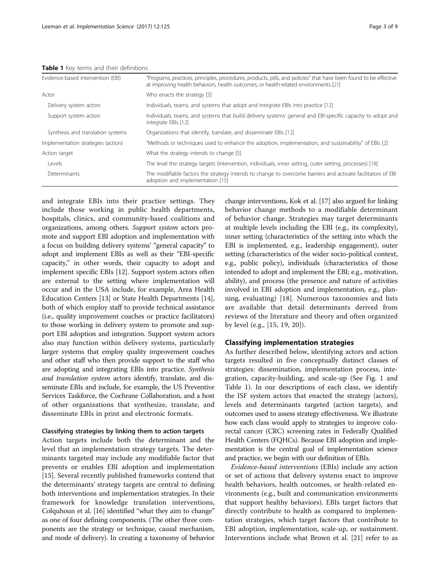| Evidence-based intervention (EBI)  | "Programs, practices, principles, procedures, products, pills, and policies" that have been found to be effective<br>at improving health behaviors, health outcomes, or health-related environments [21] |
|------------------------------------|----------------------------------------------------------------------------------------------------------------------------------------------------------------------------------------------------------|
| Actor                              | Who enacts the strategy [5]                                                                                                                                                                              |
| Delivery system actors             | Individuals, teams, and systems that adopt and integrate EBIs into practice [12]                                                                                                                         |
| Support system actors              | Individuals, teams, and systems that build delivery systems' general and EBI-specific capacity to adopt and<br>integrate EBIs [12]                                                                       |
| Synthesis and translation systems  | Organizations that identify, translate, and disseminate EBIs [12]                                                                                                                                        |
| Implementation strategies (action) | "Methods or techniques used to enhance the adoption, implementation, and sustainability" of EBIs [2]                                                                                                     |
| Action target                      | What the strategy intends to change [5]                                                                                                                                                                  |
| Levels                             | The level the strategy targets (intervention, individuals, inner setting, outer setting, processes) [18]                                                                                                 |
| Determinants                       | The modifiable factors the strategy intends to change to overcome barriers and activate facilitators of EBI<br>adoption and implementation [15]                                                          |

<span id="page-2-0"></span>Table 1 Key terms and their definitions

and integrate EBIs into their practice settings. They include those working in public health departments, hospitals, clinics, and community-based coalitions and organizations, among others. Support system actors promote and support EBI adoption and implementation with a focus on building delivery systems' "general capacity" to adopt and implement EBIs as well as their "EBI-specific capacity," in other words, their capacity to adopt and implement specific EBIs [[12](#page-7-0)]. Support system actors often are external to the setting where implementation will occur and in the USA include, for example, Area Health Education Centers [\[13\]](#page-7-0) or State Health Departments [[14](#page-7-0)], both of which employ staff to provide technical assistance (i.e., quality improvement coaches or practice facilitators) to those working in delivery system to promote and support EBI adoption and integration. Support system actors also may function within delivery systems, particularly larger systems that employ quality improvement coaches and other staff who then provide support to the staff who are adopting and integrating EBIs into practice. Synthesis and translation system actors identify, translate, and disseminate EBIs and include, for example, the US Preventive Services Taskforce, the Cochrane Collaboration, and a host of other organizations that synthesize, translate, and disseminate EBIs in print and electronic formats.

#### Classifying strategies by linking them to action targets

Action targets include both the determinant and the level that an implementation strategy targets. The determinants targeted may include any modifiable factor that prevents or enables EBI adoption and implementation [[15\]](#page-7-0). Several recently published frameworks contend that the determinants' strategy targets are central to defining both interventions and implementation strategies. In their framework for knowledge translation interventions, Colquhoun et al. [\[16](#page-7-0)] identified "what they aim to change" as one of four defining components. (The other three components are the strategy or technique, causal mechanism, and mode of delivery). In creating a taxonomy of behavior

change interventions, Kok et al. [\[17](#page-7-0)] also argued for linking behavior change methods to a modifiable determinant of behavior change. Strategies may target determinants at multiple levels including the EBI (e.g., its complexity), inner setting (characteristics of the setting into which the EBI is implemented, e.g., leadership engagement), outer setting (characteristics of the wider socio-political context, e.g., public policy), individuals (characteristics of those intended to adopt and implement the EBI; e.g., motivation, ability), and process (the presence and nature of activities involved in EBI adoption and implementation, e.g., planning, evaluating) [\[18](#page-7-0)]. Numerous taxonomies and lists are available that detail determinants derived from reviews of the literature and theory and often organized by level (e.g., [[15, 19, 20](#page-7-0)]).

# Classifying implementation strategies

As further described below, identifying actors and action targets resulted in five conceptually distinct classes of strategies: dissemination, implementation process, integration, capacity-building, and scale-up (See Fig. [1](#page-3-0) and Table 1). In our descriptions of each class, we identify the ISF system actors that enacted the strategy (actors), levels and determinants targeted (action targets), and outcomes used to assess strategy effectiveness. We illustrate how each class would apply to strategies to improve colorectal cancer (CRC) screening rates in Federally Qualified Health Centers (FQHCs). Because EBI adoption and implementation is the central goal of implementation science and practice, we begin with our definition of EBIs.

Evidence-based interventions (EBIs) include any action or set of actions that delivery systems enact to improve health behaviors, health outcomes, or health-related environments (e.g., built and communication environments that support healthy behaviors). EBIs target factors that directly contribute to health as compared to implementation strategies, which target factors that contribute to EBI adoption, implementation, scale-up, or sustainment. Interventions include what Brown et al. [[21](#page-7-0)] refer to as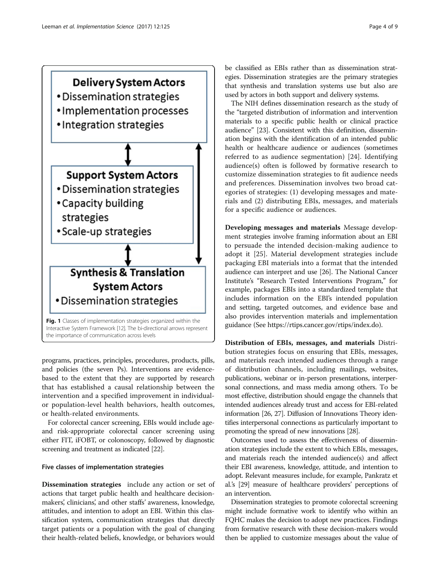<span id="page-3-0"></span>

programs, practices, principles, procedures, products, pills, and policies (the seven Ps). Interventions are evidencebased to the extent that they are supported by research that has established a causal relationship between the intervention and a specified improvement in individualor population-level health behaviors, health outcomes, or health-related environments.

For colorectal cancer screening, EBIs would include ageand risk-appropriate colorectal cancer screening using either FIT, iFOBT, or colonoscopy, followed by diagnostic screening and treatment as indicated [[22](#page-7-0)].

# Five classes of implementation strategies

Dissemination strategies include any action or set of actions that target public health and healthcare decisionmakers', clinicians', and other staffs' awareness, knowledge, attitudes, and intention to adopt an EBI. Within this classification system, communication strategies that directly target patients or a population with the goal of changing their health-related beliefs, knowledge, or behaviors would

be classified as EBIs rather than as dissemination strategies. Dissemination strategies are the primary strategies that synthesis and translation systems use but also are used by actors in both support and delivery systems.

The NIH defines dissemination research as the study of the "targeted distribution of information and intervention materials to a specific public health or clinical practice audience" [[23](#page-7-0)]. Consistent with this definition, dissemination begins with the identification of an intended public health or healthcare audience or audiences (sometimes referred to as audience segmentation) [\[24](#page-7-0)]. Identifying audience(s) often is followed by formative research to customize dissemination strategies to fit audience needs and preferences. Dissemination involves two broad categories of strategies: (1) developing messages and materials and (2) distributing EBIs, messages, and materials for a specific audience or audiences.

Developing messages and materials Message development strategies involve framing information about an EBI to persuade the intended decision-making audience to adopt it [[25\]](#page-7-0). Material development strategies include packaging EBI materials into a format that the intended audience can interpret and use [[26](#page-7-0)]. The National Cancer Institute's "Research Tested Interventions Program," for example, packages EBIs into a standardized template that includes information on the EBI's intended population and setting, targeted outcomes, and evidence base and also provides intervention materials and implementation guidance (See<https://rtips.cancer.gov/rtips/index.do>).

Distribution of EBIs, messages, and materials Distribution strategies focus on ensuring that EBIs, messages, and materials reach intended audiences through a range of distribution channels, including mailings, websites, publications, webinar or in-person presentations, interpersonal connections, and mass media among others. To be most effective, distribution should engage the channels that intended audiences already trust and access for EBI-related information [\[26, 27\]](#page-7-0). Diffusion of Innovations Theory identifies interpersonal connections as particularly important to promoting the spread of new innovations [[28](#page-7-0)].

Outcomes used to assess the effectiveness of dissemination strategies include the extent to which EBIs, messages, and materials reach the intended audience(s) and affect their EBI awareness, knowledge, attitude, and intention to adopt. Relevant measures include, for example, Pankratz et al.'s [[29](#page-7-0)] measure of healthcare providers' perceptions of an intervention.

Dissemination strategies to promote colorectal screening might include formative work to identify who within an FQHC makes the decision to adopt new practices. Findings from formative research with these decision-makers would then be applied to customize messages about the value of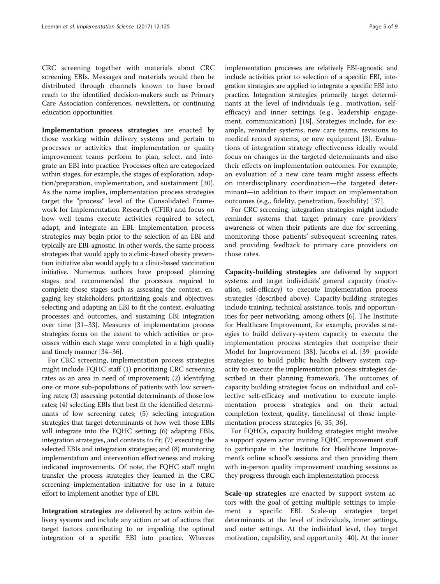CRC screening together with materials about CRC screening EBIs. Messages and materials would then be distributed through channels known to have broad reach to the identified decision-makers such as Primary Care Association conferences, newsletters, or continuing education opportunities.

Implementation process strategies are enacted by those working within delivery systems and pertain to processes or activities that implementation or quality improvement teams perform to plan, select, and integrate an EBI into practice. Processes often are categorized within stages, for example, the stages of exploration, adoption/preparation, implementation, and sustainment [\[30](#page-7-0)]. As the name implies, implementation process strategies target the "process" level of the Consolidated Framework for Implementation Research (CFIR) and focus on how well teams execute activities required to select, adapt, and integrate an EBI. Implementation process strategies may begin prior to the selection of an EBI and typically are EBI-agnostic. In other words, the same process strategies that would apply to a clinic-based obesity prevention initiative also would apply to a clinic-based vaccination initiative. Numerous authors have proposed planning stages and recommended the processes required to complete those stages such as assessing the context, engaging key stakeholders, prioritizing goals and objectives, selecting and adapting an EBI to fit the context, evaluating processes and outcomes, and sustaining EBI integration over time [\[31](#page-7-0)–[33\]](#page-8-0). Measures of implementation process strategies focus on the extent to which activities or processes within each stage were completed in a high quality and timely manner [\[34](#page-8-0)–[36\]](#page-8-0).

For CRC screening, implementation process strategies might include FQHC staff (1) prioritizing CRC screening rates as an area in need of improvement; (2) identifying one or more sub-populations of patients with low screening rates; (3) assessing potential determinants of those low rates; (4) selecting EBIs that best fit the identified determinants of low screening rates; (5) selecting integration strategies that target determinants of how well those EBIs will integrate into the FQHC setting; (6) adapting EBIs, integration strategies, and contexts to fit; (7) executing the selected EBIs and integration strategies; and (8) monitoring implementation and intervention effectiveness and making indicated improvements. Of note, the FQHC staff might transfer the process strategies they learned in the CRC screening implementation initiative for use in a future effort to implement another type of EBI.

Integration strategies are delivered by actors within delivery systems and include any action or set of actions that target factors contributing to or impeding the optimal integration of a specific EBI into practice. Whereas implementation processes are relatively EBI-agnostic and include activities prior to selection of a specific EBI, integration strategies are applied to integrate a specific EBI into practice. Integration strategies primarily target determinants at the level of individuals (e.g., motivation, selfefficacy) and inner settings (e.g., leadership engagement, communication) [[18\]](#page-7-0). Strategies include, for example, reminder systems, new care teams, revisions to medical record systems, or new equipment [[3\]](#page-7-0). Evaluations of integration strategy effectiveness ideally would focus on changes in the targeted determinants and also their effects on implementation outcomes. For example, an evaluation of a new care team might assess effects on interdisciplinary coordination—the targeted determinant—in addition to their impact on implementation outcomes (e.g., fidelity, penetration, feasibility) [[37\]](#page-8-0).

For CRC screening, integration strategies might include reminder systems that target primary care providers' awareness of when their patients are due for screening, monitoring those patients' subsequent screening rates, and providing feedback to primary care providers on those rates.

Capacity-building strategies are delivered by support systems and target individuals' general capacity (motivation, self-efficacy) to execute implementation process strategies (described above). Capacity-building strategies include training, technical assistance, tools, and opportunities for peer networking, among others [\[6](#page-7-0)]. The Institute for Healthcare Improvement, for example, provides strategies to build delivery-system capacity to execute the implementation process strategies that comprise their Model for Improvement [[38\]](#page-8-0). Jacobs et al. [[39\]](#page-8-0) provide strategies to build public health delivery system capacity to execute the implementation process strategies described in their planning framework. The outcomes of capacity building strategies focus on individual and collective self-efficacy and motivation to execute implementation process strategies and on their actual completion (extent, quality, timeliness) of those implementation process strategies [\[6](#page-7-0), [35, 36\]](#page-8-0).

For FQHCs, capacity building strategies might involve a support system actor inviting FQHC improvement staff to participate in the Institute for Healthcare Improvement's online school's sessions and then providing them with in-person quality improvement coaching sessions as they progress through each implementation process.

Scale-up strategies are enacted by support system actors with the goal of getting multiple settings to implement a specific EBI. Scale-up strategies target determinants at the level of individuals, inner settings, and outer settings. At the individual level, they target motivation, capability, and opportunity [\[40\]](#page-8-0). At the inner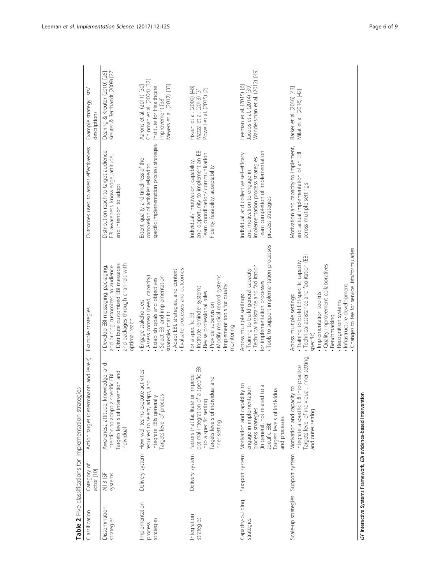<span id="page-5-0"></span>

| Classification                         | Category of<br>actor [10] | Action target (determinants and levels)                                                                                                                                              | Example strategies                                                                                                                                                                                                                                                                                                                | Outcomes used to assess effectiveness                                                                                                                                  | Example strategy lists/<br>descriptions                                                                                              |
|----------------------------------------|---------------------------|--------------------------------------------------------------------------------------------------------------------------------------------------------------------------------------|-----------------------------------------------------------------------------------------------------------------------------------------------------------------------------------------------------------------------------------------------------------------------------------------------------------------------------------|------------------------------------------------------------------------------------------------------------------------------------------------------------------------|--------------------------------------------------------------------------------------------------------------------------------------|
| Dissemination<br>strategies            | All 3 ISF<br>systems      | Awareness, attitude, knowledge, and<br>argets levels of intervention and<br>intention to adopt a specific EBI<br>ndividual                                                           | · Distribute customized EBI messages<br>and packages through channels with<br>and pricing customized to audience<br>· Develop EBI messaging, packaging,<br>optimal reach                                                                                                                                                          | Distribution reach to target audience<br>EBI awareness, knowledge, attitude,<br>and intention to adopt                                                                 | Kreuter & Bernhartdt (2009) [27]<br>Dearing & Kreuter (2010) [26]                                                                    |
| mplementation<br>strategies<br>process |                           | Delivery system How well teams execute activities<br>required to select, adapt, and<br>argets level of process<br>integrate EBIs generally                                           | . Adapt EBI, strategies, and context<br>· Evaluate processes and outcomes<br>· Assess context (need, capacity)<br>Select EBI and implementation<br>Establish goals and objectives<br>· Engage stakeholders<br>strategies that fit                                                                                                 | specific implementation process strategies<br>Extent, quality, and timeliness of the<br>completion of activities related to                                            | Chinman et al. (2004) [32]<br>Meyers et al. (2012) [33]<br>Aarons et al. (2011) [30]<br>Institute for Healthcare<br>Improvement [38] |
| Integration<br>strategies              | Delivery system           | a specific EBI<br>Factors that facilitate or impede<br>Targets levels of individual and<br>optimal integration of<br>into a specific setting<br>nner setting                         | . Modify medical record systems<br>. Implement tools for quality<br>· Institute reminder systems<br>· Revise professional roles<br>· Provide supervision<br>For a specific EBI:<br>monitoring                                                                                                                                     | and opportunity to implement an EBI<br>Team coordination/communication<br>Individuals' motivation, capability,<br>Fidelity, feasibility, acceptability                 | Fixsen et al. (2009) [48]<br>Powell et al. (2015) [2]<br>Mazza et al. (2013) [3]                                                     |
| Capacity-building<br>strategies        | Support system            | Motivation and capability to<br>to a<br>engage in implementation<br>Targets levels of individual<br>(in general, not related<br>process strategies<br>and processes<br>specific EBI) | Tools to support implementation processes<br>· Technical assistance and facilitation<br>Training to build general capacity<br>for implementation processes<br>Across multiple settings:                                                                                                                                           | Team completion of implementation<br>Individual and collective self-efficacy<br>implementation process strategies<br>and motivation to engage in<br>process strategies | Wandersman et al. (2012) [49]<br>Jacobs et al. (2014) [39]<br>Leeman et al. (2015) [6]                                               |
| Scale-up strategies Support system     |                           | largets level of individual, inner setting,<br>into practice<br>Motivation and capacity to<br>integrate a specific EBI<br>and outer setting                                          | Changes to fee for service lists/formularies<br>· Technical assistance and facilitation (EBI<br>· Training to build EBI-specific capacity<br>Quality improvement collaboratives<br>· Infrastructure development<br>· Implementation toolkits<br>Across multiple settings:<br>· Recognition systems<br>· Benchmarking<br>specific) | Motivation and capacity to implement,<br>and actual implementation of an EBI<br>across multiple settings                                                               | Barker et al. (2016) [43]<br>Milat et al. (2016) [42]                                                                                |
|                                        |                           |                                                                                                                                                                                      |                                                                                                                                                                                                                                                                                                                                   |                                                                                                                                                                        |                                                                                                                                      |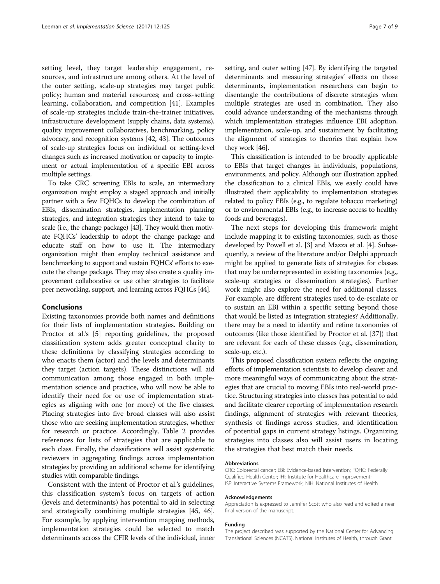setting level, they target leadership engagement, resources, and infrastructure among others. At the level of the outer setting, scale-up strategies may target public policy; human and material resources; and cross-setting learning, collaboration, and competition [\[41](#page-8-0)]. Examples of scale-up strategies include train-the-trainer initiatives, infrastructure development (supply chains, data systems), quality improvement collaboratives, benchmarking, policy advocacy, and recognition systems [[42](#page-8-0), [43\]](#page-8-0). The outcomes of scale-up strategies focus on individual or setting-level changes such as increased motivation or capacity to implement or actual implementation of a specific EBI across multiple settings.

To take CRC screening EBIs to scale, an intermediary organization might employ a staged approach and initially partner with a few FQHCs to develop the combination of EBIs, dissemination strategies, implementation planning strategies, and integration strategies they intend to take to scale (i.e., the change package) [\[43\]](#page-8-0). They would then motivate FQHCs' leadership to adopt the change package and educate staff on how to use it. The intermediary organization might then employ technical assistance and benchmarking to support and sustain FQHCs' efforts to execute the change package. They may also create a quality improvement collaborative or use other strategies to facilitate peer networking, support, and learning across FQHCs [\[44](#page-8-0)].

#### Conclusions

Existing taxonomies provide both names and definitions for their lists of implementation strategies. Building on Proctor et al.'s [[5\]](#page-7-0) reporting guidelines, the proposed classification system adds greater conceptual clarity to these definitions by classifying strategies according to who enacts them (actor) and the levels and determinants they target (action targets). These distinctions will aid communication among those engaged in both implementation science and practice, who will now be able to identify their need for or use of implementation strategies as aligning with one (or more) of the five classes. Placing strategies into five broad classes will also assist those who are seeking implementation strategies, whether for research or practice. Accordingly, Table [2](#page-5-0) provides references for lists of strategies that are applicable to each class. Finally, the classifications will assist systematic reviewers in aggregating findings across implementation strategies by providing an additional scheme for identifying studies with comparable findings.

Consistent with the intent of Proctor et al.'s guidelines, this classification system's focus on targets of action (levels and determinants) has potential to aid in selecting and strategically combining multiple strategies [\[45, 46](#page-8-0)]. For example, by applying intervention mapping methods, implementation strategies could be selected to match determinants across the CFIR levels of the individual, inner

setting, and outer setting [[47](#page-8-0)]. By identifying the targeted determinants and measuring strategies' effects on those determinants, implementation researchers can begin to disentangle the contributions of discrete strategies when multiple strategies are used in combination. They also could advance understanding of the mechanisms through which implementation strategies influence EBI adoption, implementation, scale-up, and sustainment by facilitating the alignment of strategies to theories that explain how they work [[46](#page-8-0)].

This classification is intended to be broadly applicable to EBIs that target changes in individuals, populations, environments, and policy. Although our illustration applied the classification to a clinical EBIs, we easily could have illustrated their applicability to implementation strategies related to policy EBIs (e.g., to regulate tobacco marketing) or to environmental EBIs (e.g., to increase access to healthy foods and beverages).

The next steps for developing this framework might include mapping it to existing taxonomies, such as those developed by Powell et al. [\[3](#page-7-0)] and Mazza et al. [[4\]](#page-7-0). Subsequently, a review of the literature and/or Delphi approach might be applied to generate lists of strategies for classes that may be underrepresented in existing taxonomies (e.g., scale-up strategies or dissemination strategies). Further work might also explore the need for additional classes. For example, are different strategies used to de-escalate or to sustain an EBI within a specific setting beyond those that would be listed as integration strategies? Additionally, there may be a need to identify and refine taxonomies of outcomes (like those identified by Proctor et al. [[37](#page-8-0)]) that are relevant for each of these classes (e.g., dissemination, scale-up, etc.).

This proposed classification system reflects the ongoing efforts of implementation scientists to develop clearer and more meaningful ways of communicating about the strategies that are crucial to moving EBIs into real-world practice. Structuring strategies into classes has potential to add and facilitate clearer reporting of implementation research findings, alignment of strategies with relevant theories, synthesis of findings across studies, and identification of potential gaps in current strategy listings. Organizing strategies into classes also will assist users in locating the strategies that best match their needs.

#### Abbreviations

CRC: Colorectal cancer; EBI: Evidence-based intervention; FQHC: Federally Qualified Health Center; IHI: Institute for Healthcare Improvement; ISF: Interactive Systems Framework; NIH: National Institutes of Health

#### Acknowledgements

Appreciation is expressed to Jennifer Scott who also read and edited a near final version of the manuscript.

#### Funding

The project described was supported by the National Center for Advancing Translational Sciences (NCATS), National Institutes of Health, through Grant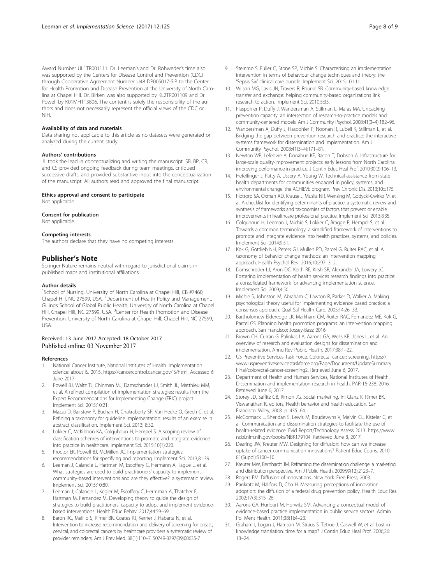<span id="page-7-0"></span>Award Number UL1TR001111. Dr. Leeman's and Dr. Rohweder's time also was supported by the Centers for Disease Control and Prevention (CDC) through Cooperative Agreement Number U48 DP005017-SIP to the Center for Health Promotion and Disease Prevention at the University of North Carolina at Chapel Hill. Dr. Birken was also supported by KL2TR001109 and Dr. Powell by K01MH113806. The content is solely the responsibility of the authors and does not necessarily represent the official views of the CDC or NIH.

#### Availability of data and materials

Data sharing not applicable to this article as no datasets were generated or analyzed during the current study.

#### Authors' contributions

JL took the lead in conceptualizing and writing the manuscript. SB, BP, CR, and CS provided ongoing feedback during team meetings, critiqued successive drafts, and provided substantive input into the conceptualization of the manuscript. All authors read and approved the final manuscript.

#### Ethics approval and consent to participate

Not applicable.

#### Consent for publication

Not applicable.

#### Competing interests

The authors declare that they have no competing interests.

#### Publisher's Note

Springer Nature remains neutral with regard to jurisdictional claims in published maps and institutional affiliations.

#### Author details

<sup>1</sup>School of Nursing, University of North Carolina at Chapel Hill, CB #7460, Chapel Hill, NC 27599, USA. <sup>2</sup>Department of Health Policy and Management, Gillings School of Global Public Health, University of North Carolina at Chapel Hill, Chapel Hill, NC 27599, USA. <sup>3</sup>Center for Health Promotion and Disease Prevention, University of North Carolina at Chapel Hill, Chapel Hill, NC 27599, USA.

### Received: 13 June 2017 Accepted: 18 October 2017 Published online: 03 November 2017

#### References

- 1. National Cancer Institute, National Institutes of Health. Implementation science: about IS. 2015. [https://cancercontrol.cancer.gov/IS/html.](https://cancercontrol.cancer.gov/IS/html) Accessed 6 June 2017.
- 2. Powell BJ, Waltz TJ, Chinman MJ, Damschroder LJ, Smith JL, Matthieu MM, et al. A refined compilation of implementation strategies: results from the Expert Recommendations for Implementing Change (ERIC) project Implement Sci. 2015;10:21.
- 3. Mazza D, Bairstow P, Buchan H, Chakraborty SP, Van Hecke O, Grech C, et al. Refining a taxonomy for guideline implementation: results of an exercise in abstract classification. Implement Sci. 2013; 8:32.
- 4. Lokker C, McKibbon KA, Colquhoun H, Hempel S. A scoping review of classification schemes of interventions to promote and integrate evidence into practice in healthcare. Implement Sci. 2015;10(1):220.
- 5. Proctor EK, Powell BJ, McMillen JC. Implementation strategies: recommendations for specifying and reporting. Implement Sci. 2013;8:139.
- 6. Leeman J, Calancie L, Hartman M, Escoffery C, Hermann A, Tague L, et al. What strategies are used to build practitioners' capacity to implement community-based interventions and are they effective?: a systematic review. Implement Sci. 2015;10:80.
- 7. Leeman J, Calancie L, Kegler M, Escoffery C, Hermman A, Thatcher E, Hartman M, Fernandez M. Developing theory to guide the design of strategies to build practitioners' capacity to adopt and implement evidencebased interventions. Health Educ Behav. 2017;44:59–69.
- Baron RC, Melillo S, Rimer BK, Coates RJ, Kerner J, Habarta N, et al. Intervention to increase recommendation and delivery of screening for breast, cervical, and colorectal cancers by healthcare providers a systematic review of provider reminders. Am J Prev Med. 38(1):110–7. S0749-3797(09)00635-7
- Steinmo S, Fuller C, Stone SP, Michie S. Characterising an implementation intervention in terms of behaviour change techniques and theory: the 'Sepsis Six' clinical care bundle. Implement Sci. 2015;10:111.
- 10. Wilson MG, Lavis JN, Travers R, Rourke SB. Community-based knowledge transfer and exchange: helping community-based organizations link research to action. Implement Sci. 2010;5:33.
- 11. Flaspohler P, Duffy J, Wandersman A, Stillman L, Maras MA. Unpacking prevention capacity: an intersection of research-to-practice models and community-centered models. Am J Community Psychol. 2008;41(3–4):182–96.
- 12. Wandersman A, Duffy J, Flaspohler P, Noonan R, Lubell K, Stillman L, et al. Bridging the gap between prevention research and practice: the interactive systems framework for dissemination and implementation. Am J Community Psychol. 2008;41(3–4):171–81.
- 13. Newton WP, Lefebvre A, Donahue KE, Bacon T, Dobson A. Infrastructure for large-scale quality-improvement projects: early lessons from North Carolina improving performance in practice. J Contin Educ Heal Prof. 2010;30(2):106–13.
- 14. Hefelfinger J, Patty A, Ussery A, Young W. Technical assistance from state health departments for communities engaged in policy, systems, and environmental change: the ACHIEVE program. Prev Chronic Dis. 2013;10:E175.
- 15. Flottorp SA, Oxman AD, Krause J, Musila NR, Wensing M, Godycki-Cwirko M, et al. A checklist for identifying determinants of practice: a systematic review and synthesis of frameworks and taxonomies of factors that prevent or enable improvements in healthcare professional practice. Implement Sci. 2013;8:35.
- 16. Colquhoun H, Leeman J, Michie S, Lokker C, Bragge P, Hempel S, et al. Towards a common terminology: a simplified framework of interventions to promote and integrate evidence into health practices, systems, and policies. Implement Sci. 2014;9:51.
- 17. Kok G, Gottlieb NH, Peters GJ, Mullen PD, Parcel G, Ruiter RAC, et al. A taxonomy of behavior change methods: an intervention mapping approach. Health Psychol Rev. 2016;10:297–312.
- 18. Damschroder LJ, Aron DC, Keith RE, Kirsh SR, Alexander JA, Lowery JC. Fostering implementation of health services research findings into practice: a consolidated framework for advancing implementation science. Implement Sci. 2009;4:50.
- 19. Michie S, Johnston M, Abraham C, Lawton R, Parker D, Walker A. Making psychological theory useful for implementing evidence based practice: a consensus approach. Qual Saf Health Care. 2005;14:26–33.
- 20. Bartholomew Elderedge LK, Markham CM, Ruiter RAC, Fernandez ME, Kok G, Parcel GS. Planning health promotion programs: an intervention mapping approach. San Francisco: Jossey-Bass; 2016.
- 21. Brown CH, Curran G, Palinkas LA, Aarons GA, Wells KB, Jones L, et al. An overview of research and evaluation designs for dissemination and implementation. Annu Rev Public Health. 2017;38:1–22.
- 22. US Preventive Services Task Force. Colorectal cancer: screening. [https://](https://www.uspreventiveservicestaskforce.org/Page/Document/UpdateSummaryFinal/colorectal-cancer-screening2) [www.uspreventiveservicestaskforce.org/Page/Document/UpdateSummary](https://www.uspreventiveservicestaskforce.org/Page/Document/UpdateSummaryFinal/colorectal-cancer-screening2) [Final/colorectal-cancer-screening2.](https://www.uspreventiveservicestaskforce.org/Page/Document/UpdateSummaryFinal/colorectal-cancer-screening2) Retrieved June 6, 2017.
- 23. Department of Health and Human Services, National Institutes of Health. Dissemination and implementation research in health. PAR-16-238. 2016. Retrieved June 6, 2017.
- 24. Storey JD, Saffitz GB, Rimon JG. Social marketing. In: Glanz K, Rimer BK, Viswanathan K, editors. Health behavior and health education. San Francisco: Wiley; 2008. p. 435–64.
- 25. McCormack L, Sheridan S, Lewis M, Boudewyns V, Melvin CL, Kisteler C, et al. Communication and dissemination strategies to facilitate the use of health-related evidence. Evid Report/Technology Assess 2013. [https://www.](https://www.ncbi.nlm.nih.gov/books/NBK179104) [ncbi.nlm.nih.gov/books/NBK179104](https://www.ncbi.nlm.nih.gov/books/NBK179104). Retrieved June 8, 2017.
- 26. Dearing JW, Kreuter MW. Designing for diffusion: how can we increase uptake of cancer communication innovations? Patient Educ Couns. 2010; 81(Suppl):S100–10.
- 27. Kreuter MW, Bernhardt JM. Reframing the dissemination challenge: a marketing and distribution perspective. Am J Public Health. 2009;99(12):2123–7.
- 28. Rogers EM. Diffusion of innovations. New York: Free Press; 2003.
- 29. Pankratz M, Hallfors D, Cho H. Measuring perceptions of innovation adoption: the diffusion of a federal drug prevention policy. Health Educ Res. 2002;17(3):315–26.
- 30. Aarons GA, Hurlburt M, Horwitz SM. Advancing a conceptual model of evidence-based practice implementation in public service sectors. Admin Pol Ment Health. 2011;38(1):4–23.
- 31. Graham I, Logan J, Harrison M, Straus S, Tetroe J, Caswell W, et al. Lost in knowledge translation: time for a map? J Contin Educ Heal Prof. 2006;26: 13–24.